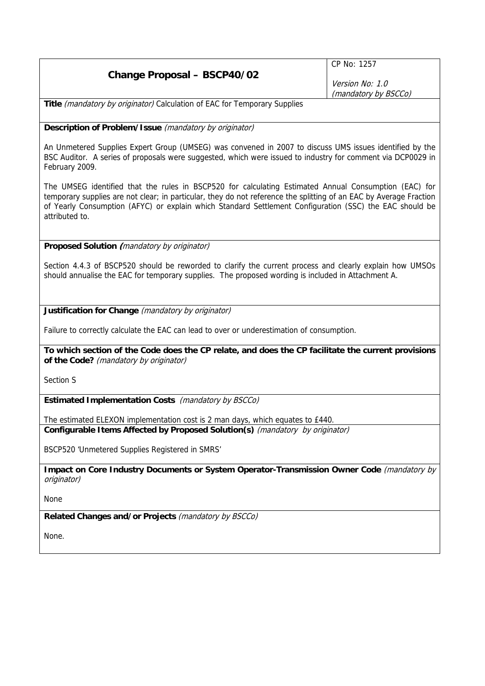|                                    | CP No: 1257                             |
|------------------------------------|-----------------------------------------|
| <b>Change Proposal - BSCP40/02</b> | Version No: 1.0<br>(mandatory by BSCCo) |
|                                    |                                         |

Title (mandatory by originator) Calculation of EAC for Temporary Supplies

**Description of Problem/Issue** (mandatory by originator)

An Unmetered Supplies Expert Group (UMSEG) was convened in 2007 to discuss UMS issues identified by the BSC Auditor. A series of proposals were suggested, which were issued to industry for comment via DCP0029 in February 2009.

The UMSEG identified that the rules in BSCP520 for calculating Estimated Annual Consumption (EAC) for temporary supplies are not clear; in particular, they do not reference the splitting of an EAC by Average Fraction of Yearly Consumption (AFYC) or explain which Standard Settlement Configuration (SSC) the EAC should be attributed to.

**Proposed Solution (**mandatory by originator)

Section 4.4.3 of BSCP520 should be reworded to clarify the current process and clearly explain how UMSOs should annualise the EAC for temporary supplies. The proposed wording is included in Attachment A.

**Justification for Change** (mandatory by originator)

Failure to correctly calculate the EAC can lead to over or underestimation of consumption.

**To which section of the Code does the CP relate, and does the CP facilitate the current provisions of the Code?** (mandatory by originator)

Section S

**Estimated Implementation Costs** (mandatory by BSCCo)

The estimated ELEXON implementation cost is 2 man days, which equates to £440. **Configurable Items Affected by Proposed Solution(s)** (mandatory by originator)

BSCP520 'Unmetered Supplies Registered in SMRS'

**Impact on Core Industry Documents or System Operator-Transmission Owner Code** (mandatory by originator)

None

**Related Changes and/or Projects** (mandatory by BSCCo)

None.